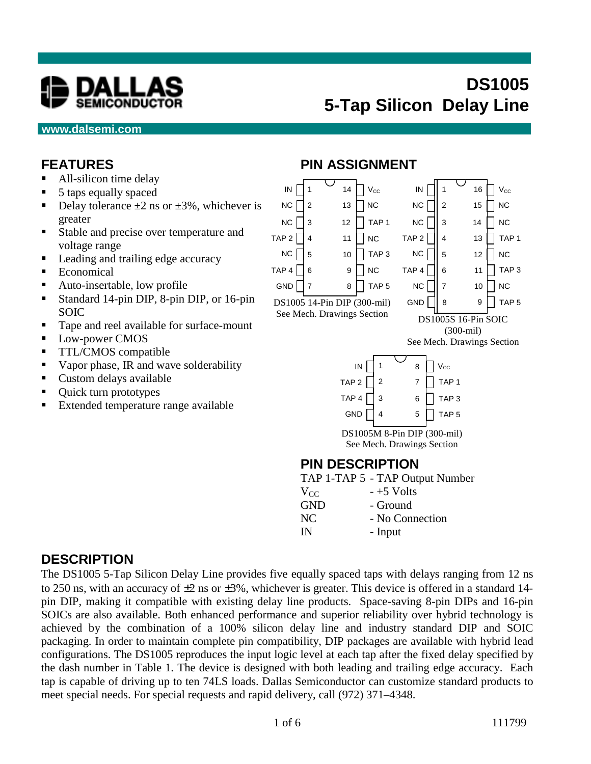

#### **www.dalsemi.com**

#### **FEATURES**

- All-silicon time delay
- 5 taps equally spaced
- Delay tolerance  $\pm 2$  ns or  $\pm 3\%$ , whichever is greater
- Stable and precise over temperature and voltage range
- Leading and trailing edge accuracy
- **Economical**
- Auto-insertable, low profile
- Standard 14-pin DIP, 8-pin DIP, or 16-pin SOIC
- Tape and reel available for surface-mount
- **Low-power CMOS**
- **TTL/CMOS** compatible
- Vapor phase, IR and wave solderability
- **Custom delays available**
- Quick turn prototypes
- Extended temperature range available

#### **PIN ASSIGNMENT**



|            | $11$ $\mu$ $11$ $\mu$ $3$ $11$ $\mu$ $\sigma$ $\sigma$ |
|------------|--------------------------------------------------------|
| $V_{CC}$   | $-+5$ Volts                                            |
| <b>GND</b> | - Ground                                               |
| NC         | - No Connection                                        |
| IN         | - Input                                                |

#### **DESCRIPTION**

The DS1005 5-Tap Silicon Delay Line provides five equally spaced taps with delays ranging from 12 ns to 250 ns, with an accuracy of  $\pm 2$  ns or  $\pm 3\%$ , whichever is greater. This device is offered in a standard 14pin DIP, making it compatible with existing delay line products. Space-saving 8-pin DIPs and 16-pin SOICs are also available. Both enhanced performance and superior reliability over hybrid technology is achieved by the combination of a 100% silicon delay line and industry standard DIP and SOIC packaging. In order to maintain complete pin compatibility, DIP packages are available with hybrid lead configurations. The DS1005 reproduces the input logic level at each tap after the fixed delay specified by the dash number in Table 1. The device is designed with both leading and trailing edge accuracy. Each tap is capable of driving up to ten 74LS loads. Dallas Semiconductor can customize standard products to meet special needs. For special requests and rapid delivery, call (972) 371–4348.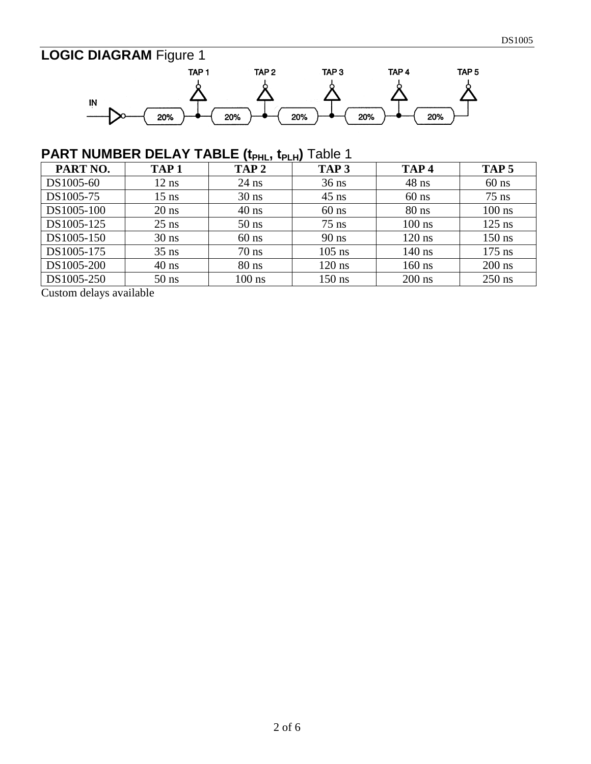# **LOGIC DIAGRAM** Figure 1



## **PART NUMBER DELAY TABLE (t<sub>PHL</sub>, t<sub>PLH</sub>) Table 1**

| PART NO.   | TAP <sub>1</sub> | TAP <sub>2</sub> | TAP <sub>3</sub> | TAP <sub>4</sub> | TAP <sub>5</sub> |
|------------|------------------|------------------|------------------|------------------|------------------|
| DS1005-60  | $12$ ns          | $24$ ns          | $36$ ns          | $48$ ns          | $60$ ns          |
| DS1005-75  | $15$ ns          | $30$ ns          | $45$ ns          | $60$ ns          | $75$ ns          |
| DS1005-100 | $20$ ns          | $40$ ns          | $60$ ns          | $80$ ns          | $100$ ns         |
| DS1005-125 | $25$ ns          | $50$ ns          | $75$ ns          | $100$ ns         | $125$ ns         |
| DS1005-150 | $30$ ns          | $60$ ns          | $90$ ns          | $120$ ns         | $150$ ns         |
| DS1005-175 | $35$ ns          | $70$ ns          | $105$ ns         | $140$ ns         | $175$ ns         |
| DS1005-200 | $40$ ns          | $80$ ns          | $120$ ns         | $160$ ns         | $200$ ns         |
| DS1005-250 | $50$ ns          | $100$ ns         | $150$ ns         | $200$ ns         | $250$ ns         |

Custom delays available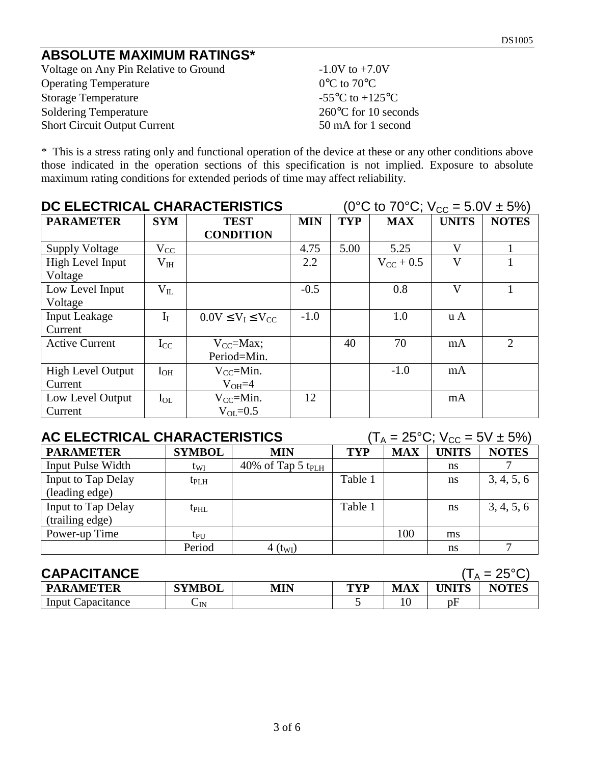#### **ABSOLUTE MAXIMUM RATINGS\***

Voltage on Any Pin Relative to Ground -1.0V to +7.0V Operating Temperature 0°C to 70°C Storage Temperature  $-55^{\circ}$ C to  $+125^{\circ}$ C Soldering Temperature 260°C for 10 seconds Short Circuit Output Current 50 mA for 1 second

\* This is a stress rating only and functional operation of the device at these or any other conditions above those indicated in the operation sections of this specification is not implied. Exposure to absolute maximum rating conditions for extended periods of time may affect reliability.

| DC ELECTRICAL CHARACTERISTICS |              |                             |        | (0°C to 70°C; $V_{\text{CC}} = 5.0V \pm 5\%)$ |                    |                         |                |  |
|-------------------------------|--------------|-----------------------------|--------|-----------------------------------------------|--------------------|-------------------------|----------------|--|
| <b>PARAMETER</b>              | <b>SYM</b>   | <b>TEST</b>                 |        | <b>TYP</b>                                    | <b>MAX</b>         | <b>UNITS</b>            | <b>NOTES</b>   |  |
|                               |              | <b>CONDITION</b>            |        |                                               |                    |                         |                |  |
| <b>Supply Voltage</b>         | $V_{CC}$     |                             | 4.75   | 5.00                                          | 5.25               | V                       |                |  |
| High Level Input              | $\rm V_{IH}$ |                             | 2.2    |                                               | $V_{\rm CC}$ + 0.5 | $\overline{\mathbf{V}}$ |                |  |
| Voltage                       |              |                             |        |                                               |                    |                         |                |  |
| Low Level Input               | $V_{II}$     |                             | $-0.5$ |                                               | 0.8                | V                       |                |  |
| Voltage                       |              |                             |        |                                               |                    |                         |                |  |
| <b>Input Leakage</b>          | $I_I$        | $0.0V \leq V_I \leq V_{CC}$ | $-1.0$ |                                               | 1.0                | $\mathbf{u} \mathbf{A}$ |                |  |
| Current                       |              |                             |        |                                               |                    |                         |                |  |
| <b>Active Current</b>         | $I_{CC}$     | $V_{CC}$ =Max;              |        | 40                                            | 70                 | mA                      | $\overline{2}$ |  |
|                               |              | Period=Min.                 |        |                                               |                    |                         |                |  |
| <b>High Level Output</b>      | $I_{OH}$     | $V_{CC}$ =Min.              |        |                                               | $-1.0$             | mA                      |                |  |
| Current                       |              | $V_{OH} = 4$                |        |                                               |                    |                         |                |  |
| Low Level Output              | $I_{OL}$     | $V_{CC}$ =Min.              | 12     |                                               |                    | mA                      |                |  |
| Current                       |              | $V_{\text{OL}}=0.5$         |        |                                               |                    |                         |                |  |

| AC ELECTRICAL CHARACTERISTICS |               |                               | $(T_A = 25^{\circ}C; V_{CC} = 5V \pm 5\%)$ |            |              |              |
|-------------------------------|---------------|-------------------------------|--------------------------------------------|------------|--------------|--------------|
| <b>PARAMETER</b>              | <b>SYMBOL</b> | <b>MIN</b>                    | <b>TYP</b>                                 | <b>MAX</b> | <b>UNITS</b> | <b>NOTES</b> |
| <b>Input Pulse Width</b>      | twi           | 40% of Tap 5 t <sub>PLH</sub> |                                            |            | ns           |              |
| Input to Tap Delay            | $t_{\rm PLH}$ |                               | Table 1                                    |            | ns           | 3, 4, 5, 6   |
| (leading edge)                |               |                               |                                            |            |              |              |
| Input to Tap Delay            | $t_{\rm PHL}$ |                               | Table 1                                    |            | ns           | 3, 4, 5, 6   |
| (trailing edge)               |               |                               |                                            |            |              |              |
| Power-up Time                 | $tp_{U}$      |                               |                                            | 100        | ms           |              |
|                               | Period        | $4~{\rm (t_{WI})}$            |                                            |            | ns           | ⇁            |

| <b>CAPACITANCE</b>       |               |     |     |            |       | $\alpha = 25$ °C |
|--------------------------|---------------|-----|-----|------------|-------|------------------|
| <b>PARAMETER</b>         | <b>SYMBOL</b> | MIN | TVP | <b>MAX</b> | UNITS | <b>NOTES</b>     |
| <b>Input Capacitance</b> | $\sim$ IN     |     |     |            | рF    |                  |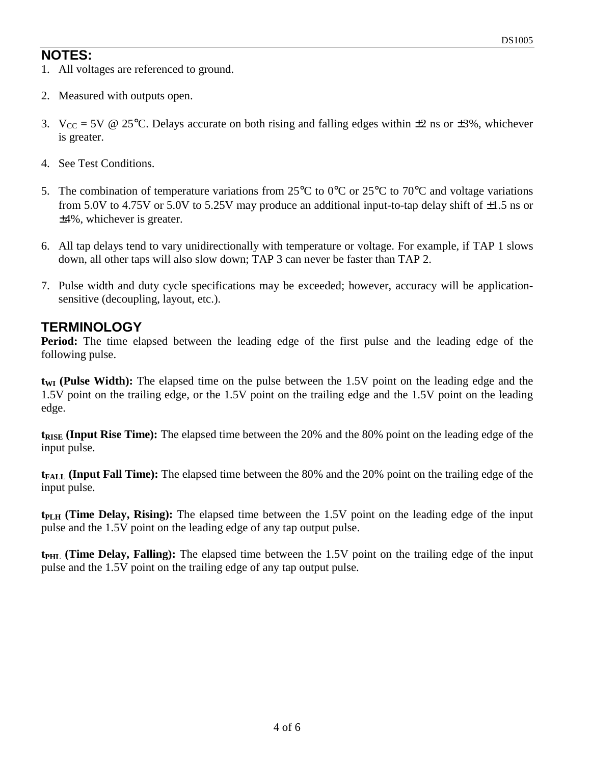#### **NOTES:**

- 1. All voltages are referenced to ground.
- 2. Measured with outputs open.
- 3.  $V_{CC} = 5V \tQ 25^{\circ}C$ . Delays accurate on both rising and falling edges within  $\pm 2$  ns or  $\pm 3\%$ , whichever is greater.
- 4. See Test Conditions.
- 5. The combination of temperature variations from 25°C to 0°C or 25°C to 70°C and voltage variations from 5.0V to 4.75V or 5.0V to 5.25V may produce an additional input-to-tap delay shift of  $\pm 1.5$  ns or ±4%, whichever is greater.
- 6. All tap delays tend to vary unidirectionally with temperature or voltage. For example, if TAP 1 slows down, all other taps will also slow down; TAP 3 can never be faster than TAP 2.
- 7. Pulse width and duty cycle specifications may be exceeded; however, accuracy will be applicationsensitive (decoupling, layout, etc.).

#### **TERMINOLOGY**

**Period:** The time elapsed between the leading edge of the first pulse and the leading edge of the following pulse.

t<sub>WI</sub> (Pulse Width): The elapsed time on the pulse between the 1.5V point on the leading edge and the 1.5V point on the trailing edge, or the 1.5V point on the trailing edge and the 1.5V point on the leading edge.

**t<sub>RISE</sub>** (Input Rise Time): The elapsed time between the 20% and the 80% point on the leading edge of the input pulse.

**t**<sub>FALL</sub> (Input Fall Time): The elapsed time between the 80% and the 20% point on the trailing edge of the input pulse.

**t**<sub>PLH</sub> (Time Delay, Rising): The elapsed time between the 1.5V point on the leading edge of the input pulse and the 1.5V point on the leading edge of any tap output pulse.

**t**<sub>PHL</sub> (Time Delay, Falling): The elapsed time between the 1.5V point on the trailing edge of the input pulse and the 1.5V point on the trailing edge of any tap output pulse.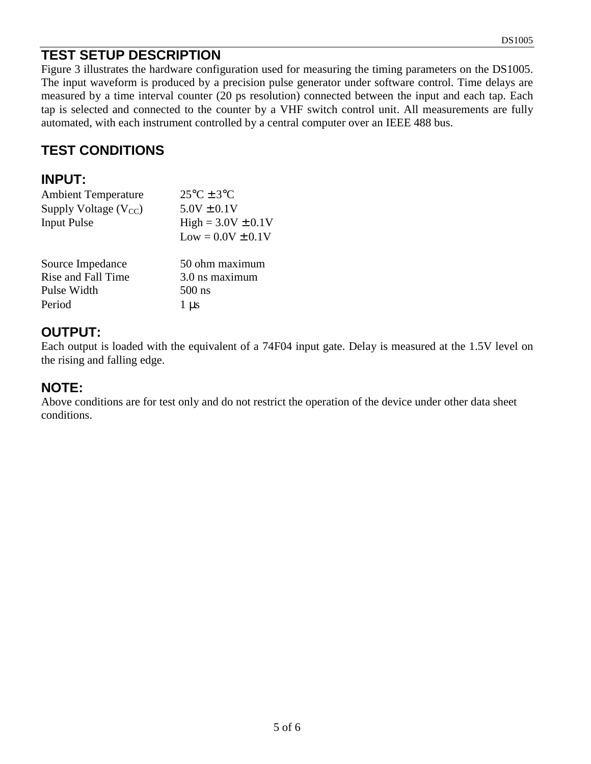### **TEST SETUP DESCRIPTION**

Figure 3 illustrates the hardware configuration used for measuring the timing parameters on the DS1005. The input waveform is produced by a precision pulse generator under software control. Time delays are measured by a time interval counter (20 ps resolution) connected between the input and each tap. Each tap is selected and connected to the counter by a VHF switch control unit. All measurements are fully automated, with each instrument controlled by a central computer over an IEEE 488 bus.

### **TEST CONDITIONS**

#### **INPUT:**

| <b>Ambient Temperature</b> | $25^{\circ}$ C ± 3 $^{\circ}$ C |
|----------------------------|---------------------------------|
| Supply Voltage $(V_{CC})$  | $5.0V \pm 0.1V$                 |
| <b>Input Pulse</b>         | $High = 3.0V \pm 0.1V$          |
|                            | $Low = 0.0V \pm 0.1V$           |
| Source Impedance           | 50 ohm maximum                  |
| Rise and Fall Time         | 3.0 ns maximum                  |
| Pulse Width                | $500$ ns                        |
| Period                     | 1 us                            |

### **OUTPUT:**

Each output is loaded with the equivalent of a 74F04 input gate. Delay is measured at the 1.5V level on the rising and falling edge.

#### **NOTE:**

Above conditions are for test only and do not restrict the operation of the device under other data sheet conditions.